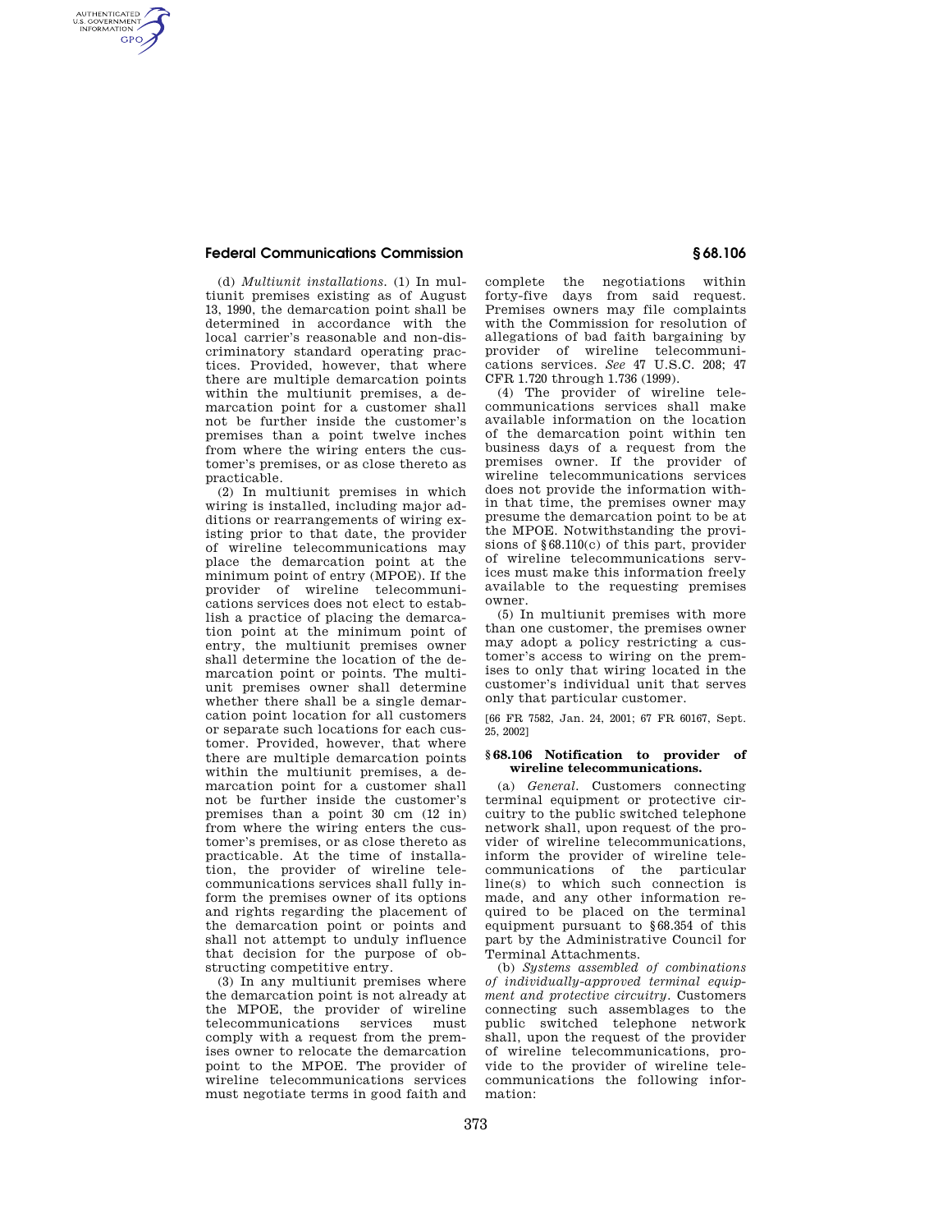## **Federal Communications Commission § 68.106**

AUTHENTICATED<br>U.S. GOVERNMENT<br>INFORMATION **GPO** 

> (d) *Multiunit installations.* (1) In multiunit premises existing as of August 13, 1990, the demarcation point shall be determined in accordance with the local carrier's reasonable and non-discriminatory standard operating practices. Provided, however, that where there are multiple demarcation points within the multiunit premises, a demarcation point for a customer shall not be further inside the customer's premises than a point twelve inches from where the wiring enters the customer's premises, or as close thereto as practicable.

> (2) In multiunit premises in which wiring is installed, including major additions or rearrangements of wiring existing prior to that date, the provider of wireline telecommunications may place the demarcation point at the minimum point of entry (MPOE). If the provider of wireline telecommunications services does not elect to establish a practice of placing the demarcation point at the minimum point of entry, the multiunit premises owner shall determine the location of the demarcation point or points. The multiunit premises owner shall determine whether there shall be a single demarcation point location for all customers or separate such locations for each customer. Provided, however, that where there are multiple demarcation points within the multiunit premises, a demarcation point for a customer shall not be further inside the customer's premises than a point 30 cm (12 in) from where the wiring enters the customer's premises, or as close thereto as practicable. At the time of installation, the provider of wireline telecommunications services shall fully inform the premises owner of its options and rights regarding the placement of the demarcation point or points and shall not attempt to unduly influence that decision for the purpose of obstructing competitive entry.

> (3) In any multiunit premises where the demarcation point is not already at the MPOE, the provider of wireline telecommunications services must comply with a request from the premises owner to relocate the demarcation point to the MPOE. The provider of wireline telecommunications services must negotiate terms in good faith and

complete the negotiations within forty-five days from said request. Premises owners may file complaints with the Commission for resolution of allegations of bad faith bargaining by provider of wireline telecommunications services. *See* 47 U.S.C. 208; 47 CFR 1.720 through 1.736 (1999).

(4) The provider of wireline telecommunications services shall make available information on the location of the demarcation point within ten business days of a request from the premises owner. If the provider of wireline telecommunications services does not provide the information within that time, the premises owner may presume the demarcation point to be at the MPOE. Notwithstanding the provisions of §68.110(c) of this part, provider of wireline telecommunications services must make this information freely available to the requesting premises owner.

(5) In multiunit premises with more than one customer, the premises owner may adopt a policy restricting a customer's access to wiring on the premises to only that wiring located in the customer's individual unit that serves only that particular customer.

[66 FR 7582, Jan. 24, 2001; 67 FR 60167, Sept. 25, 2002]

## **§ 68.106 Notification to provider of wireline telecommunications.**

(a) *General.* Customers connecting terminal equipment or protective circuitry to the public switched telephone network shall, upon request of the provider of wireline telecommunications, inform the provider of wireline telecommunications of the particular line(s) to which such connection is made, and any other information required to be placed on the terminal equipment pursuant to §68.354 of this part by the Administrative Council for Terminal Attachments.

(b) *Systems assembled of combinations of individually-approved terminal equipment and protective circuitry.* Customers connecting such assemblages to the public switched telephone network shall, upon the request of the provider of wireline telecommunications, provide to the provider of wireline telecommunications the following information: